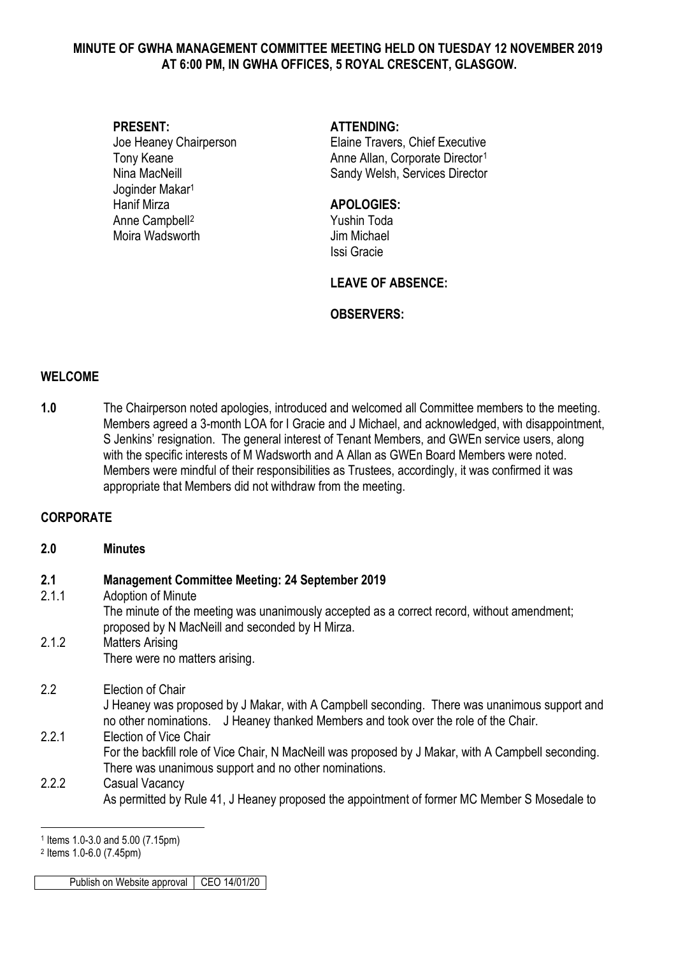#### **MINUTE OF GWHA MANAGEMENT COMMITTEE MEETING HELD ON TUESDAY 12 NOVEMBER 2019 AT 6:00 PM, IN GWHA OFFICES, 5 ROYAL CRESCENT, GLASGOW.**

# **PRESENT: ATTENDING:** Joginder Makar1 Hanif Mirza **APOLOGIES:** Anne Campbell<sup>[2](#page-0-1)</sup><br>Moira Wadsworth Michael<br>Moira Wadsworth Michael Moira Wadsworth

Joe Heaney Chairperson Elaine Travers, Chief Executive Tony Keane **Anne Allan, Corporate Director**<sup>[1](#page-0-0)</sup> Nina MacNeill **Nina MacNeill** Sandy Welsh, Services Director

Issi Gracie

#### **LEAVE OF ABSENCE:**

### **OBSERVERS:**

#### **WELCOME**

**1.0** The Chairperson noted apologies, introduced and welcomed all Committee members to the meeting. Members agreed a 3-month LOA for I Gracie and J Michael, and acknowledged, with disappointment, S Jenkins' resignation. The general interest of Tenant Members, and GWEn service users, along with the specific interests of M Wadsworth and A Allan as GWEn Board Members were noted. Members were mindful of their responsibilities as Trustees, accordingly, it was confirmed it was appropriate that Members did not withdraw from the meeting.

# **CORPORATE**

#### **2.0 Minutes**

| 2.1<br>2.1.1 | <b>Management Committee Meeting: 24 September 2019</b><br>Adoption of Minute<br>The minute of the meeting was unanimously accepted as a correct record, without amendment;<br>proposed by N MacNeill and seconded by H Mirza. |
|--------------|-------------------------------------------------------------------------------------------------------------------------------------------------------------------------------------------------------------------------------|
| 2.1.2        | <b>Matters Arising</b>                                                                                                                                                                                                        |
|              | There were no matters arising.                                                                                                                                                                                                |
| 2.2          | Election of Chair                                                                                                                                                                                                             |
|              | J Heaney was proposed by J Makar, with A Campbell seconding. There was unanimous support and<br>no other nominations. J Heaney thanked Members and took over the role of the Chair.                                           |
| 2.2.1        | Election of Vice Chair                                                                                                                                                                                                        |
|              | For the backfill role of Vice Chair, N MacNeill was proposed by J Makar, with A Campbell seconding.<br>There was unanimous support and no other nominations.                                                                  |
| 2.2.2        | Casual Vacancy                                                                                                                                                                                                                |
|              | As permitted by Rule 41, J Heaney proposed the appointment of former MC Member S Mosedale to                                                                                                                                  |

-

Publish on Website approval CEO 14/01/20

<span id="page-0-0"></span><sup>1</sup> Items 1.0-3.0 and 5.00 (7.15pm)

<span id="page-0-1"></span><sup>2</sup> Items 1.0-6.0 (7.45pm)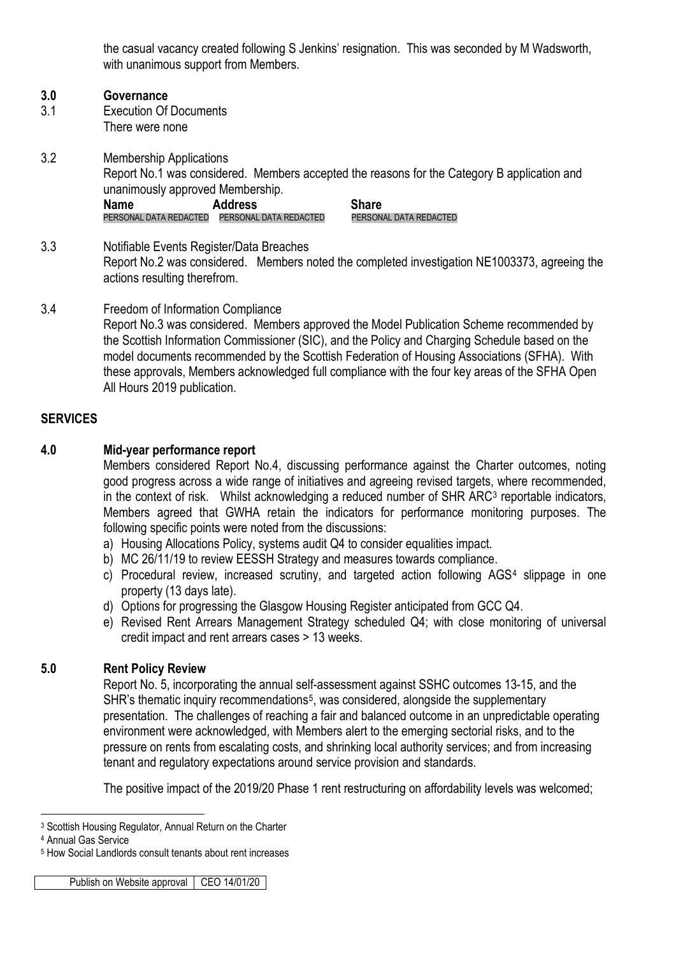the casual vacancy created following S Jenkins' resignation. This was seconded by M Wadsworth, with unanimous support from Members.

#### **3.0 Governance**

- 3.1 Execution Of Documents There were none
- 3.2 Membership Applications Report No.1 was considered. Members accepted the reasons for the Category B application and unanimously approved Membership. **Name Address Share** PERSONAL DATA REDACTED PERSONAL DATA REDACTED PERSONAL DATA REDACTED
- 3.3 Notifiable Events Register/Data Breaches Report No.2 was considered. Members noted the completed investigation NE1003373, agreeing the actions resulting therefrom.
- 3.4 Freedom of Information Compliance Report No.3 was considered. Members approved the Model Publication Scheme recommended by the Scottish Information Commissioner (SIC), and the Policy and Charging Schedule based on the model documents recommended by the Scottish Federation of Housing Associations (SFHA). With these approvals, Members acknowledged full compliance with the four key areas of the SFHA Open All Hours 2019 publication.

# **SERVICES**

### **4.0 Mid-year performance report**

Members considered Report No.4, discussing performance against the Charter outcomes, noting good progress across a wide range of initiatives and agreeing revised targets, where recommended, in the context of risk. Whilst acknowledging a reduced number of SHR ARC<sup>[3](#page-1-0)</sup> reportable indicators, Members agreed that GWHA retain the indicators for performance monitoring purposes. The following specific points were noted from the discussions:

- a) Housing Allocations Policy, systems audit Q4 to consider equalities impact.
- b) MC 26/11/19 to review EESSH Strategy and measures towards compliance.
- c) Procedural review, increased scrutiny, and targeted action following AGS[4](#page-1-1) slippage in one property (13 days late).
- d) Options for progressing the Glasgow Housing Register anticipated from GCC Q4.
- e) Revised Rent Arrears Management Strategy scheduled Q4; with close monitoring of universal credit impact and rent arrears cases > 13 weeks.

# **5.0 Rent Policy Review**

Report No. 5, incorporating the annual self-assessment against SSHC outcomes 13-15, and the SHR's thematic inquiry recommendations<sup>5</sup>, was considered, alongside the supplementary presentation. The challenges of reaching a fair and balanced outcome in an unpredictable operating environment were acknowledged, with Members alert to the emerging sectorial risks, and to the pressure on rents from escalating costs, and shrinking local authority services; and from increasing tenant and regulatory expectations around service provision and standards.

The positive impact of the 2019/20 Phase 1 rent restructuring on affordability levels was welcomed;

<span id="page-1-0"></span><sup>-</sup><sup>3</sup> Scottish Housing Regulator, Annual Return on the Charter

<span id="page-1-1"></span><sup>4</sup> Annual Gas Service

<span id="page-1-2"></span><sup>5</sup> How Social Landlords consult tenants about rent increases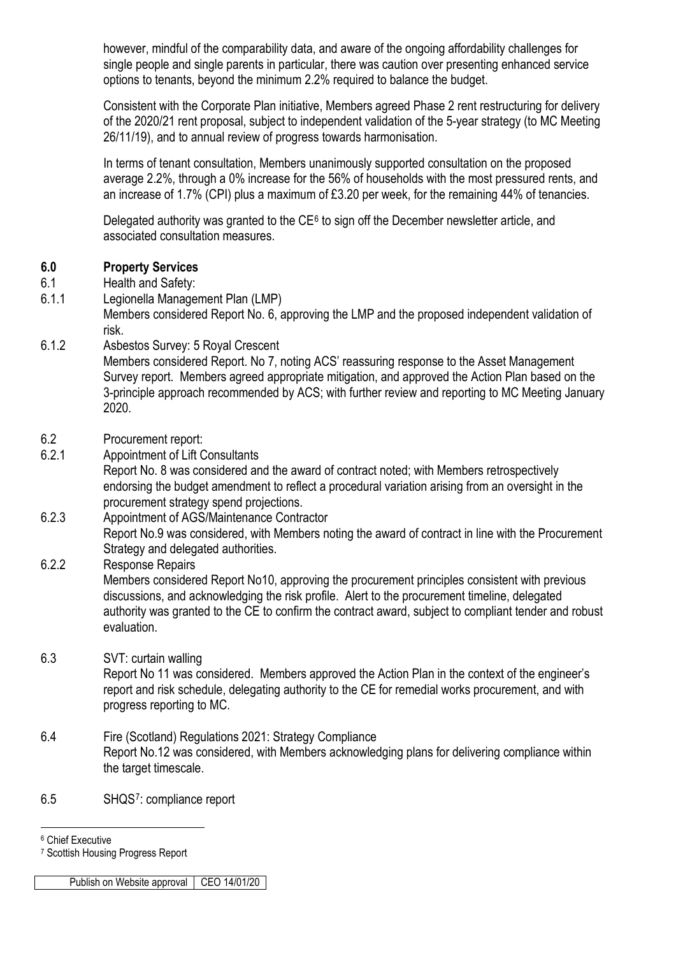however, mindful of the comparability data, and aware of the ongoing affordability challenges for single people and single parents in particular, there was caution over presenting enhanced service options to tenants, beyond the minimum 2.2% required to balance the budget.

Consistent with the Corporate Plan initiative, Members agreed Phase 2 rent restructuring for delivery of the 2020/21 rent proposal, subject to independent validation of the 5-year strategy (to MC Meeting 26/11/19), and to annual review of progress towards harmonisation.

In terms of tenant consultation, Members unanimously supported consultation on the proposed average 2.2%, through a 0% increase for the 56% of households with the most pressured rents, and an increase of 1.7% (CPI) plus a maximum of £3.20 per week, for the remaining 44% of tenancies.

Delegated authority was granted to the  $CE<sup>6</sup>$  $CE<sup>6</sup>$  $CE<sup>6</sup>$  to sign off the December newsletter article, and associated consultation measures.

### **6.0 Property Services**

- 6.1 Health and Safety:
- 6.1.1 Legionella Management Plan (LMP)

Members considered Report No. 6, approving the LMP and the proposed independent validation of risk.

- 6.1.2 Asbestos Survey: 5 Royal Crescent Members considered Report. No 7, noting ACS' reassuring response to the Asset Management Survey report. Members agreed appropriate mitigation, and approved the Action Plan based on the 3-principle approach recommended by ACS; with further review and reporting to MC Meeting January 2020.
- 6.2 Procurement report:
- 6.2.1 Appointment of Lift Consultants

Report No. 8 was considered and the award of contract noted; with Members retrospectively endorsing the budget amendment to reflect a procedural variation arising from an oversight in the procurement strategy spend projections.

- 6.2.3 Appointment of AGS/Maintenance Contractor Report No.9 was considered, with Members noting the award of contract in line with the Procurement Strategy and delegated authorities.
- 6.2.2 Response Repairs

Members considered Report No10, approving the procurement principles consistent with previous discussions, and acknowledging the risk profile. Alert to the procurement timeline, delegated authority was granted to the CE to confirm the contract award, subject to compliant tender and robust evaluation.

# 6.3 SVT: curtain walling

Report No 11 was considered. Members approved the Action Plan in the context of the engineer's report and risk schedule, delegating authority to the CE for remedial works procurement, and with progress reporting to MC.

- 6.4 Fire (Scotland) Regulations 2021: Strategy Compliance Report No.12 was considered, with Members acknowledging plans for delivering compliance within the target timescale.
- 6.5 SHQS[7](#page-2-1): compliance report

Publish on Website approval CEO 14/01/20

<span id="page-2-0"></span><sup>-</sup><sup>6</sup> Chief Executive

<span id="page-2-1"></span><sup>7</sup> Scottish Housing Progress Report